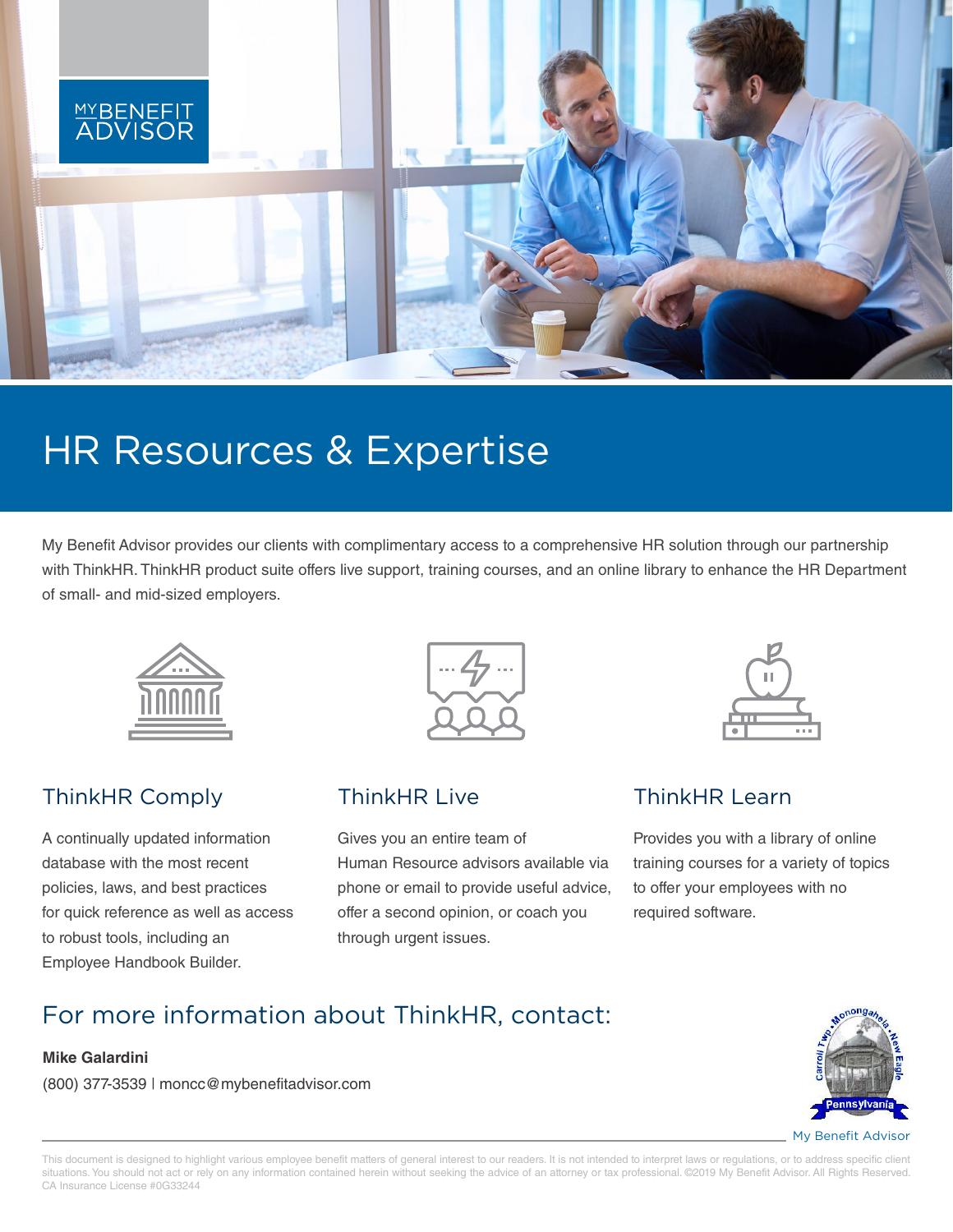

# HR Resources & Expertise

My Benefit Advisor provides our clients with complimentary access to a comprehensive HR solution through our partnership with ThinkHR. ThinkHR product suite offers live support, training courses, and an online library to enhance the HR Department of small- and mid-sized employers.



## ThinkHR Comply

A continually updated information database with the most recent policies, laws, and best practices for quick reference as well as access to robust tools, including an Employee Handbook Builder.



## ThinkHR Live

Gives you an entire team of Human Resource advisors available via phone or email to provide useful advice, offer a second opinion, or coach you through urgent issues.



### ThinkHR Learn

Provides you with a library of online training courses for a variety of topics to offer your employees with no required software.

## For more information about ThinkHR, contact:

#### **Mike Galardini**

(800) 377-3539 | moncc@mybenefitadvisor.com



My Benefit Advisor

This document is designed to highlight various employee benefit matters of general interest to our readers. It is not intended to interpret laws or regulations, or to address specific client situations. You should not act or rely on any information contained herein without seeking the advice of an attorney or tax professional. ©2019 My Benefit Advisor. All Rights Reserved. CA Insurance License #0G33244